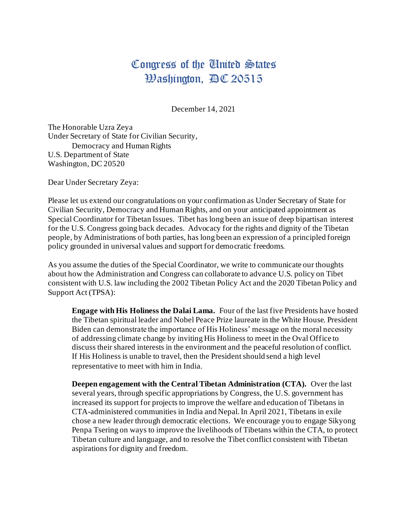## Congress of the United States  $\mathfrak{B}$ ashington,  $\mathfrak{BC}$  20515

December 14, 2021

The Honorable Uzra Zeya Under Secretary of State for Civilian Security, Democracy and Human Rights U.S. Department of State Washington, DC 20520

Dear Under Secretary Zeya:

Please let us extend our congratulations on your confirmation as Under Secretary of State for Civilian Security, Democracy and Human Rights, and on your anticipated appointment as Special Coordinator for Tibetan Issues. Tibet has long been an issue of deep bipartisan interest for the U.S. Congress going back decades. Advocacy for the rights and dignity of the Tibetan people, by Administrations of both parties, has long been an expression of a principled foreign policy grounded in universal values and support for democratic freedoms.

As you assume the duties of the Special Coordinator, we write to communicate our thoughts about how the Administration and Congress can collaborate to advance U.S. policy on Tibet consistent with U.S. law including the 2002 Tibetan Policy Act and the 2020 Tibetan Policy and Support Act (TPSA):

**Engage with His Holiness the Dalai Lama.** Four of the last five Presidents have hosted the Tibetan spiritual leader and Nobel Peace Prize laureate in the White House. President Biden can demonstrate the importance of His Holiness' message on the moral necessity of addressing climate change by inviting His Holiness to meet in the Oval Office to discuss their shared interests in the environment and the peaceful resolution of conflict. If His Holiness is unable to travel, then the President should send a high level representative to meet with him in India.

**Deepen engagement with the Central Tibetan Administration (CTA).** Over the last several years, through specific appropriations by Congress, the U.S. government has increased its support for projects to improve the welfare and education of Tibetans in CTA-administered communities in India and Nepal. In April 2021, Tibetans in exile chose a new leader through democratic elections. We encourage you to engage Sikyong Penpa Tsering on ways to improve the livelihoods of Tibetans within the CTA, to protect Tibetan culture and language, and to resolve the Tibet conflict consistent with Tibetan aspirations for dignity and freedom.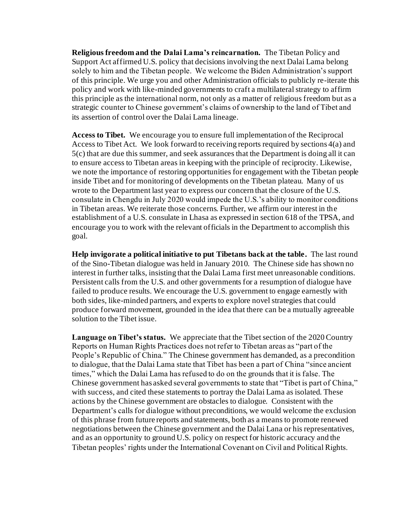**Religious freedom and the Dalai Lama's reincarnation.** The Tibetan Policy and Support Act affirmed U.S. policy that decisions involving the next Dalai Lama belong solely to him and the Tibetan people. We welcome the Biden Administration's support of this principle. We urge you and other Administration officials to publicly re-iterate this policy and work with like-minded governments to craft a multilateral strategy to affirm this principle as the international norm, not only as a matter of religious freedom but as a strategic counter to Chinese government's claims of ownership to the land of Tibet and its assertion of control over the Dalai Lama lineage.

**Access to Tibet.** We encourage you to ensure full implementation of the Reciprocal Access to Tibet Act. We look forward to receiving reports required by sections 4(a) and 5(c) that are due this summer, and seek assurances that the Department is doing all it can to ensure access to Tibetan areas in keeping with the principle of reciprocity. Likewise, we note the importance of restoring opportunities for engagement with the Tibetan people inside Tibet and for monitoring of developments on the Tibetan plateau. Many of us wrote to the Department last year to express our concern that the closure of the U.S. consulate in Chengdu in July 2020 would impede the U.S.'s ability to monitor conditions in Tibetan areas. We reiterate those concerns. Further, we affirm our interest in the establishment of a U.S. consulate in Lhasa as expressed in section 618 of the TPSA, and encourage you to work with the relevant officials in the Department to accomplish this goal.

**Help invigorate a political initiative to put Tibetans back at the table.** The last round of the Sino-Tibetan dialogue was held in January 2010. The Chinese side has shown no interest in further talks, insisting that the Dalai Lama first meet unreasonable conditions. Persistent calls from the U.S. and other governments for a resumption of dialogue have failed to produce results. We encourage the U.S. government to engage earnestly with both sides, like-minded partners, and experts to explore novel strategies that could produce forward movement, grounded in the idea that there can be a mutually agreeable solution to the Tibet issue.

**Language on Tibet's status.** We appreciate that the Tibet section of the 2020 Country Reports on Human Rights Practices does not refer to Tibetan areas as "part of the People's Republic of China." The Chinese government has demanded, as a precondition to dialogue, that the Dalai Lama state that Tibet has been a part of China "since ancient times," which the Dalai Lama has refused to do on the grounds that it is false. The Chinese government has asked several governments to state that "Tibet is part of China," with success, and cited these statements to portray the Dalai Lama as isolated. These actions by the Chinese government are obstacles to dialogue. Consistent with the Department's calls for dialogue without preconditions, we would welcome the exclusion of this phrase from future reports and statements, both as a means to promote renewed negotiations between the Chinese government and the Dalai Lana or his representatives, and as an opportunity to ground U.S. policy on respect for historic accuracy and the Tibetan peoples' rights under the International Covenant on Civil and Political Rights.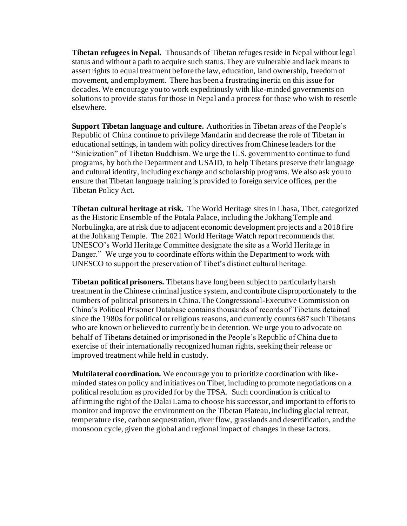**Tibetan refugees in Nepal.** Thousands of Tibetan refuges reside in Nepal without legal status and without a path to acquire such status. They are vulnerable and lack means to assert rights to equal treatment before the law, education, land ownership, freedom of movement, and employment. There has been a frustrating inertia on this issue for decades. We encourage you to work expeditiously with like-minded governments on solutions to provide status for those in Nepal and a process for those who wish to resettle elsewhere.

**Support Tibetan language and culture.** Authorities in Tibetan areas of the People's Republic of China continue to privilege Mandarin and decrease the role of Tibetan in educational settings, in tandem with policy directives from Chinese leaders for the "Sinicization" of Tibetan Buddhism. We urge the U.S. government to continue to fund programs, by both the Department and USAID, to help Tibetans preserve their language and cultural identity, including exchange and scholarship programs. We also ask you to ensure that Tibetan language training is provided to foreign service offices, per the Tibetan Policy Act.

**Tibetan cultural heritage at risk.** The World Heritage sites in Lhasa, Tibet, categorized as the Historic Ensemble of the Potala Palace, including the Jokhang Temple and Norbulingka, are at risk due to adjacent economic development projects and a 2018 fire at the Johkang Temple. The 2021 World Heritage Watch report recommends that UNESCO's World Heritage Committee designate the site as a World Heritage in Danger." We urge you to coordinate efforts within the Department to work with UNESCO to support the preservation of Tibet's distinct cultural heritage.

**Tibetan political prisoners.** Tibetans have long been subject to particularly harsh treatment in the Chinese criminal justice system, and contribute disproportionately to the numbers of political prisoners in China. The Congressional-Executive Commission on China's Political Prisoner Database contains thousands of records of Tibetans detained since the 1980s for political or religious reasons, and currently counts 687 such Tibetans who are known or believed to currently be in detention. We urge you to advocate on behalf of Tibetans detained or imprisoned in the People's Republic of China due to exercise of their internationally recognized human rights, seeking their release or improved treatment while held in custody.

**Multilateral coordination.** We encourage you to prioritize coordination with likeminded states on policy and initiatives on Tibet, including to promote negotiations on a political resolution as provided for by the TPSA. Such coordination is critical to affirming the right of the Dalai Lama to choose his successor, and important to efforts to monitor and improve the environment on the Tibetan Plateau, including glacial retreat, temperature rise, carbon sequestration, river flow, grasslands and desertification, and the monsoon cycle, given the global and regional impact of changes in these factors.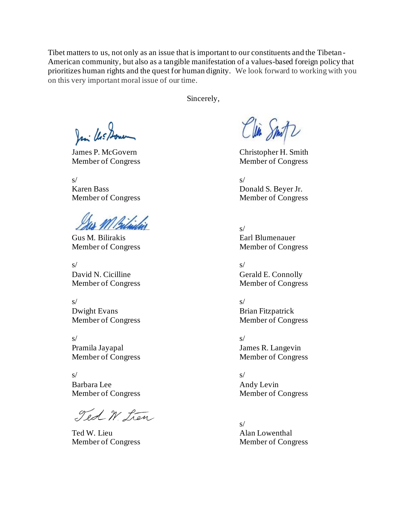Tibet matters to us, not only as an issue that is important to our constituents and the Tibetan-American community, but also as a tangible manifestation of a values-based foreign policy that prioritizes human rights and the quest for human dignity. We look forward to working with you on this very important moral issue of our time.

Sincerely,

Jani Us Done

 $s/$ Karen Bass Donald S. Beyer Jr.

M Bitichio

Gus M. Bilirakis Earl Blumenauer Member of Congress Member of Congress

 $s/$ David N. Cicilline Gerald E. Connolly

 $s/$ Dwight Evans Brian Fitzpatrick

 $s/$ Pramila Jayapal James R. Langevin Member of Congress Member of Congress

 $s/$ Barbara Lee Andy Levin

Ted W. Lien

Ted W. Lieu Alan Lowenthal

Clin Smitz

James P. McGovern Christopher H. Smith Member of Congress Member of Congress

Member of Congress Member of Congress

s/

Member of Congress Member of Congress

Member of Congress Member of Congress

Member of Congress Member of Congress

s/ Member of Congress Member of Congress